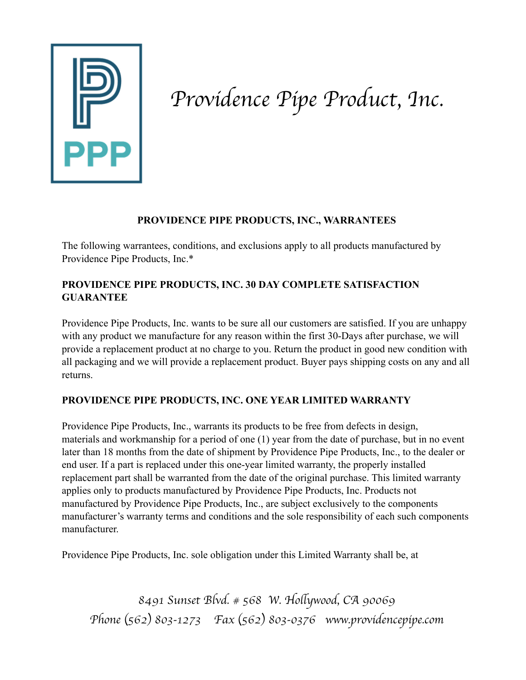

### *Providence Pipe Product, Inc.*

#### **PROVIDENCE PIPE PRODUCTS, INC., WARRANTEES**

The following warrantees, conditions, and exclusions apply to all products manufactured by Providence Pipe Products, Inc.\*

### **PROVIDENCE PIPE PRODUCTS, INC. 30 DAY COMPLETE SATISFACTION GUARANTEE**

Providence Pipe Products, Inc. wants to be sure all our customers are satisfied. If you are unhappy with any product we manufacture for any reason within the first 30-Days after purchase, we will provide a replacement product at no charge to you. Return the product in good new condition with all packaging and we will provide a replacement product. Buyer pays shipping costs on any and all returns.

### **PROVIDENCE PIPE PRODUCTS, INC. ONE YEAR LIMITED WARRANTY**

Providence Pipe Products, Inc., warrants its products to be free from defects in design, materials and workmanship for a period of one (1) year from the date of purchase, but in no event later than 18 months from the date of shipment by Providence Pipe Products, Inc., to the dealer or end user. If a part is replaced under this one-year limited warranty, the properly installed replacement part shall be warranted from the date of the original purchase. This limited warranty applies only to products manufactured by Providence Pipe Products, Inc. Products not manufactured by Providence Pipe Products, Inc., are subject exclusively to the components manufacturer's warranty terms and conditions and the sole responsibility of each such components manufacturer.

Providence Pipe Products, Inc. sole obligation under this Limited Warranty shall be, at

*8491 Sunset Blvd. # 568 W. Ho*l*ywood, CA 90069 Phone* (*562*) *803-1273 Fax* (*562*) *803-0376 www.providencepipe.com*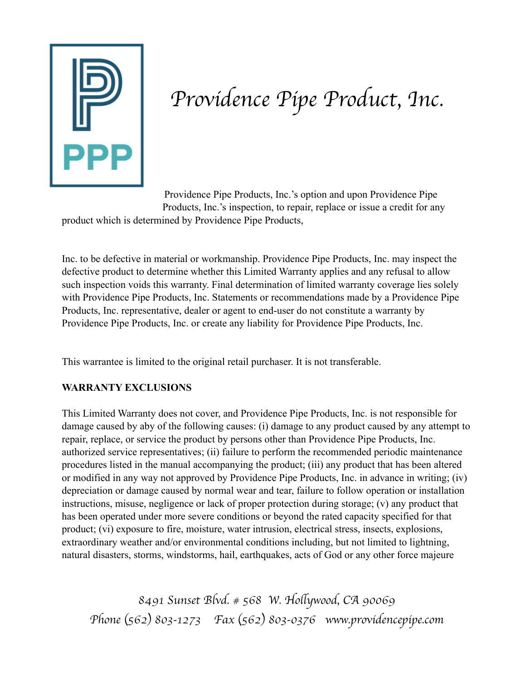

# *Providence Pipe Product, Inc.*

Providence Pipe Products, Inc.'s option and upon Providence Pipe Products, Inc.'s inspection, to repair, replace or issue a credit for any product which is determined by Providence Pipe Products,

Inc. to be defective in material or workmanship. Providence Pipe Products, Inc. may inspect the defective product to determine whether this Limited Warranty applies and any refusal to allow such inspection voids this warranty. Final determination of limited warranty coverage lies solely with Providence Pipe Products, Inc. Statements or recommendations made by a Providence Pipe Products, Inc. representative, dealer or agent to end-user do not constitute a warranty by Providence Pipe Products, Inc. or create any liability for Providence Pipe Products, Inc.

This warrantee is limited to the original retail purchaser. It is not transferable.

### **WARRANTY EXCLUSIONS**

This Limited Warranty does not cover, and Providence Pipe Products, Inc. is not responsible for damage caused by aby of the following causes: (i) damage to any product caused by any attempt to repair, replace, or service the product by persons other than Providence Pipe Products, Inc. authorized service representatives; (ii) failure to perform the recommended periodic maintenance procedures listed in the manual accompanying the product; (iii) any product that has been altered or modified in any way not approved by Providence Pipe Products, Inc. in advance in writing; (iv) depreciation or damage caused by normal wear and tear, failure to follow operation or installation instructions, misuse, negligence or lack of proper protection during storage; (v) any product that has been operated under more severe conditions or beyond the rated capacity specified for that product; (vi) exposure to fire, moisture, water intrusion, electrical stress, insects, explosions, extraordinary weather and/or environmental conditions including, but not limited to lightning, natural disasters, storms, windstorms, hail, earthquakes, acts of God or any other force majeure

*8491 Sunset Blvd. # 568 W. Ho*l*ywood, CA 90069 Phone* (*562*) *803-1273 Fax* (*562*) *803-0376 www.providencepipe.com*